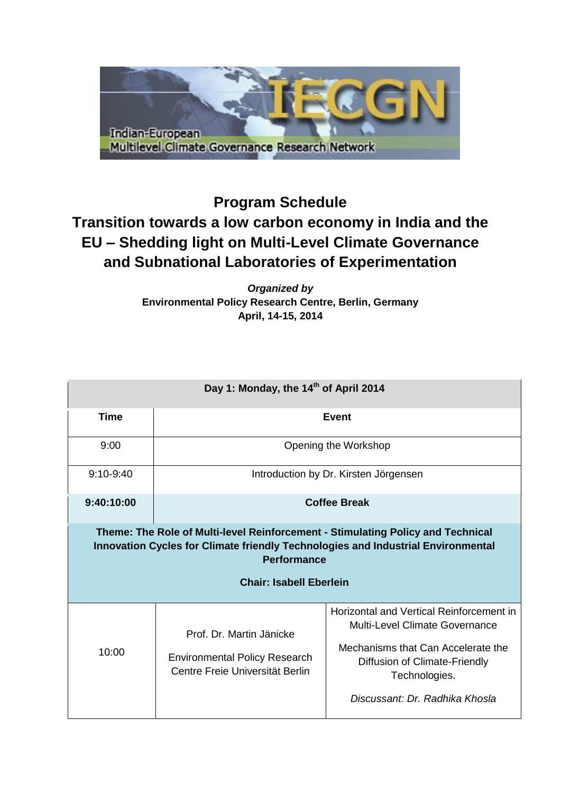

## **Program Schedule Transition towards a low carbon economy in India and the EU – Shedding light on Multi-Level Climate Governance and Subnational Laboratories of Experimentation**

*Organized by* **Environmental Policy Research Centre, Berlin, Germany April, 14-15, 2014**

| Day 1: Monday, the 14 <sup>th</sup> of April 2014                                                                                                                                                                           |                                                                                                     |                                                                                                                                                                                                      |  |  |  |
|-----------------------------------------------------------------------------------------------------------------------------------------------------------------------------------------------------------------------------|-----------------------------------------------------------------------------------------------------|------------------------------------------------------------------------------------------------------------------------------------------------------------------------------------------------------|--|--|--|
| <b>Time</b>                                                                                                                                                                                                                 | <b>Event</b>                                                                                        |                                                                                                                                                                                                      |  |  |  |
| 9:00                                                                                                                                                                                                                        | Opening the Workshop                                                                                |                                                                                                                                                                                                      |  |  |  |
| $9:10-9:40$                                                                                                                                                                                                                 | Introduction by Dr. Kirsten Jörgensen                                                               |                                                                                                                                                                                                      |  |  |  |
| 9:40:10:00                                                                                                                                                                                                                  | <b>Coffee Break</b>                                                                                 |                                                                                                                                                                                                      |  |  |  |
| Theme: The Role of Multi-level Reinforcement - Stimulating Policy and Technical<br>Innovation Cycles for Climate friendly Technologies and Industrial Environmental<br><b>Performance</b><br><b>Chair: Isabell Eberlein</b> |                                                                                                     |                                                                                                                                                                                                      |  |  |  |
| 10:00                                                                                                                                                                                                                       | Prof. Dr. Martin Jänicke<br><b>Environmental Policy Research</b><br>Centre Freie Universität Berlin | Horizontal and Vertical Reinforcement in<br>Multi-Level Climate Governance<br>Mechanisms that Can Accelerate the<br>Diffusion of Climate-Friendly<br>Technologies.<br>Discussant: Dr. Radhika Khosla |  |  |  |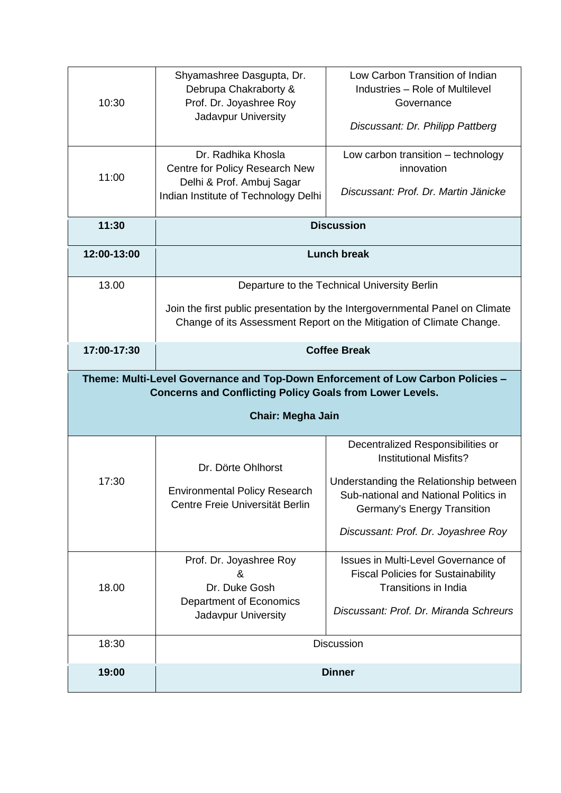| 10:30                                                                                                                                              | Shyamashree Dasgupta, Dr.<br>Debrupa Chakraborty &<br>Prof. Dr. Joyashree Roy<br>Jadavpur University                                                 | Low Carbon Transition of Indian<br>Industries - Role of Multilevel<br>Governance<br>Discussant: Dr. Philipp Pattberg |  |  |
|----------------------------------------------------------------------------------------------------------------------------------------------------|------------------------------------------------------------------------------------------------------------------------------------------------------|----------------------------------------------------------------------------------------------------------------------|--|--|
| 11:00                                                                                                                                              | Dr. Radhika Khosla<br>Centre for Policy Research New<br>Delhi & Prof. Ambuj Sagar<br>Indian Institute of Technology Delhi                            | Low carbon transition - technology<br>innovation<br>Discussant: Prof. Dr. Martin Jänicke                             |  |  |
| 11:30                                                                                                                                              | <b>Discussion</b>                                                                                                                                    |                                                                                                                      |  |  |
| 12:00-13:00                                                                                                                                        | <b>Lunch break</b>                                                                                                                                   |                                                                                                                      |  |  |
| 13.00                                                                                                                                              | Departure to the Technical University Berlin                                                                                                         |                                                                                                                      |  |  |
|                                                                                                                                                    | Join the first public presentation by the Intergovernmental Panel on Climate<br>Change of its Assessment Report on the Mitigation of Climate Change. |                                                                                                                      |  |  |
| 17:00-17:30                                                                                                                                        | <b>Coffee Break</b>                                                                                                                                  |                                                                                                                      |  |  |
| Theme: Multi-Level Governance and Top-Down Enforcement of Low Carbon Policies -<br><b>Concerns and Conflicting Policy Goals from Lower Levels.</b> |                                                                                                                                                      |                                                                                                                      |  |  |
|                                                                                                                                                    |                                                                                                                                                      |                                                                                                                      |  |  |
|                                                                                                                                                    | <b>Chair: Megha Jain</b>                                                                                                                             |                                                                                                                      |  |  |
|                                                                                                                                                    |                                                                                                                                                      | Decentralized Responsibilities or<br><b>Institutional Misfits?</b>                                                   |  |  |
| 17:30                                                                                                                                              | Dr. Dörte Ohlhorst<br><b>Environmental Policy Research</b><br>Centre Freie Universität Berlin                                                        | Understanding the Relationship between<br>Sub-national and National Politics in<br>Germany's Energy Transition       |  |  |
|                                                                                                                                                    |                                                                                                                                                      | Discussant: Prof. Dr. Joyashree Roy                                                                                  |  |  |
| 18.00                                                                                                                                              | Prof. Dr. Joyashree Roy<br>ጼ<br>Dr. Duke Gosh<br><b>Department of Economics</b>                                                                      | Issues in Multi-Level Governance of<br><b>Fiscal Policies for Sustainability</b><br>Transitions in India             |  |  |
| 18:30                                                                                                                                              | Jadavpur University                                                                                                                                  | Discussant: Prof. Dr. Miranda Schreurs<br><b>Discussion</b>                                                          |  |  |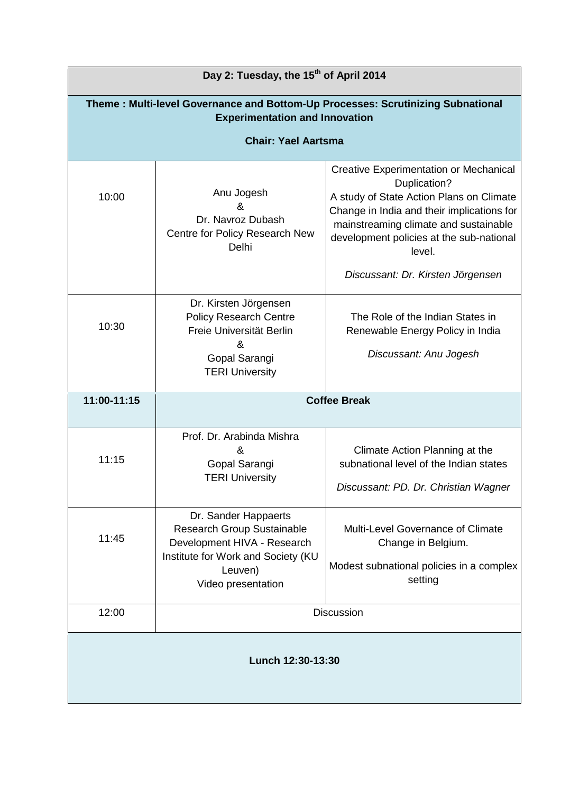| Day 2: Tuesday, the 15 <sup>th</sup> of April 2014                                                                       |                                                                                                                                                                 |                                                                                                                                                                                                                                                 |  |  |
|--------------------------------------------------------------------------------------------------------------------------|-----------------------------------------------------------------------------------------------------------------------------------------------------------------|-------------------------------------------------------------------------------------------------------------------------------------------------------------------------------------------------------------------------------------------------|--|--|
| Theme: Multi-level Governance and Bottom-Up Processes: Scrutinizing Subnational<br><b>Experimentation and Innovation</b> |                                                                                                                                                                 |                                                                                                                                                                                                                                                 |  |  |
| <b>Chair: Yael Aartsma</b>                                                                                               |                                                                                                                                                                 |                                                                                                                                                                                                                                                 |  |  |
| 10:00                                                                                                                    | Anu Jogesh<br>ጼ<br>Dr. Navroz Dubash<br>Centre for Policy Research New<br>Delhi                                                                                 | Creative Experimentation or Mechanical<br>Duplication?<br>A study of State Action Plans on Climate<br>Change in India and their implications for<br>mainstreaming climate and sustainable<br>development policies at the sub-national<br>level. |  |  |
|                                                                                                                          |                                                                                                                                                                 | Discussant: Dr. Kirsten Jörgensen                                                                                                                                                                                                               |  |  |
| 10:30                                                                                                                    | Dr. Kirsten Jörgensen<br><b>Policy Research Centre</b><br>Freie Universität Berlin<br>&<br>Gopal Sarangi<br><b>TERI University</b>                              | The Role of the Indian States in<br>Renewable Energy Policy in India<br>Discussant: Anu Jogesh                                                                                                                                                  |  |  |
| 11:00-11:15                                                                                                              | <b>Coffee Break</b>                                                                                                                                             |                                                                                                                                                                                                                                                 |  |  |
| 11:15                                                                                                                    | Prof. Dr. Arabinda Mishra<br>&<br>Gopal Sarangi<br><b>TERI University</b>                                                                                       | Climate Action Planning at the<br>subnational level of the Indian states<br>Discussant: PD. Dr. Christian Wagner                                                                                                                                |  |  |
| 11:45                                                                                                                    | Dr. Sander Happaerts<br><b>Research Group Sustainable</b><br>Development HIVA - Research<br>Institute for Work and Society (KU<br>Leuven)<br>Video presentation | Multi-Level Governance of Climate<br>Change in Belgium.<br>Modest subnational policies in a complex<br>setting                                                                                                                                  |  |  |
| 12:00                                                                                                                    | <b>Discussion</b>                                                                                                                                               |                                                                                                                                                                                                                                                 |  |  |
| Lunch 12:30-13:30                                                                                                        |                                                                                                                                                                 |                                                                                                                                                                                                                                                 |  |  |